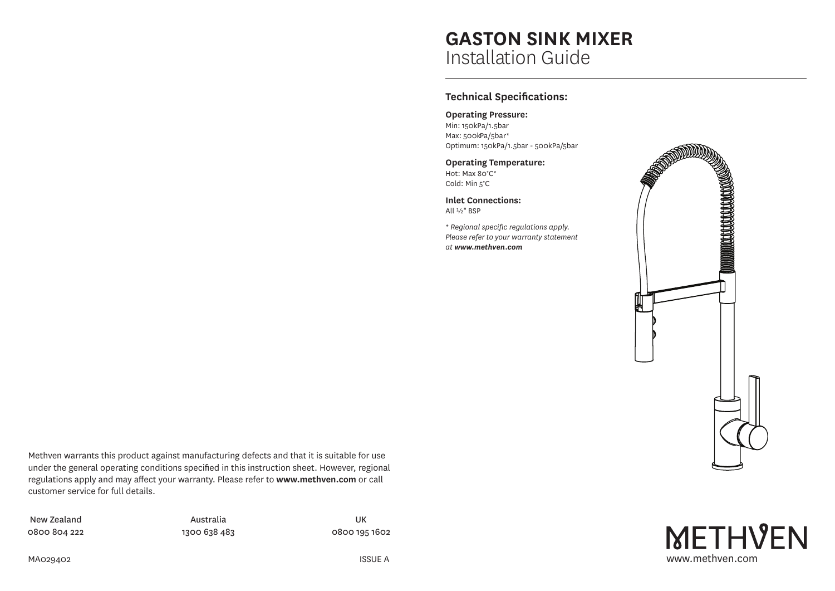# **GASTON SINK MIXER** Installation Guide

## **Technical Specifications:**

**Operating Pressure:** Min: 150kPa/1.5bar Max: 500kPa/5bar\* Optimum: 150kPa/1.5bar - 500kPa/5bar

**Operating Temperature:** Hot: Max 80°C\* Cold: Min 5°C

**Inlet Connections:** All ½" BSP

*\* Regional specific regulations apply. Please refer to your warranty statement at www.methven.com*



Methven warrants this product against manufacturing defects and that it is suitable for use under the general operating conditions specified in this instruction sheet. However, regional regulations apply and may affect your warranty. Please refer to **www.methven.com** or call customer service for full details.

New Zealand 0800 804 222

Australia 1300 638 483

UK 0800 195 1602